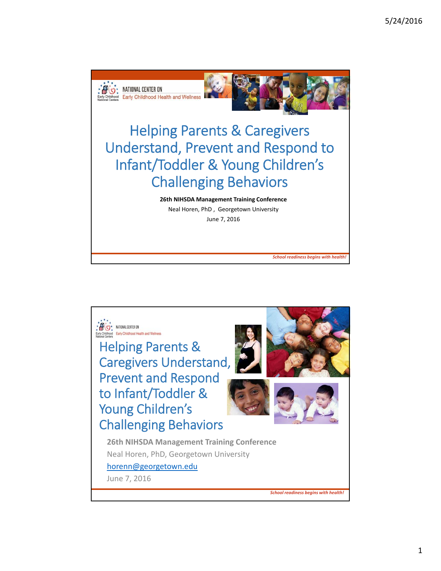

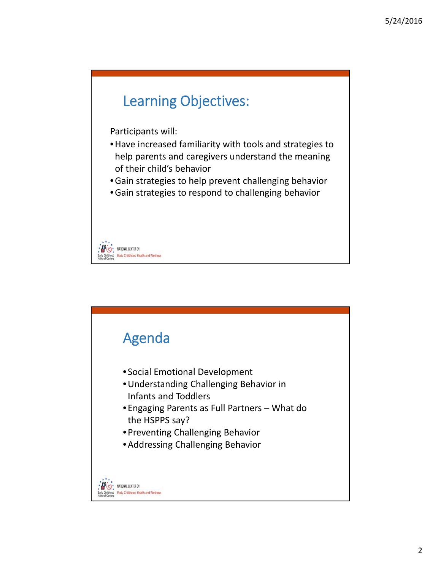

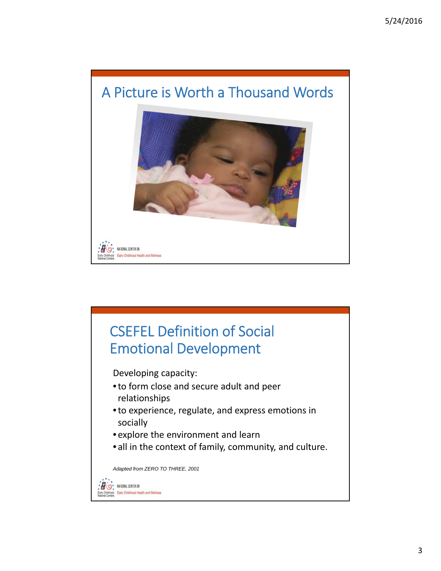

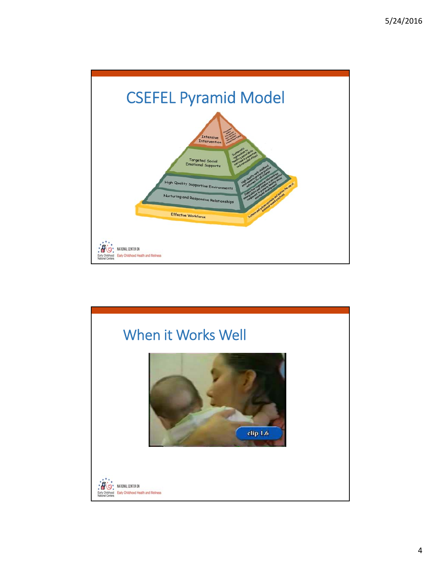

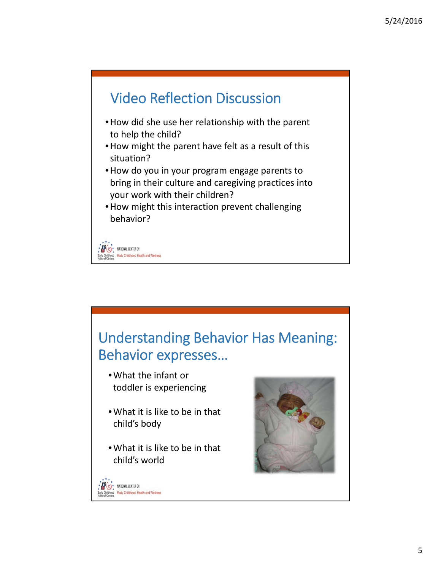

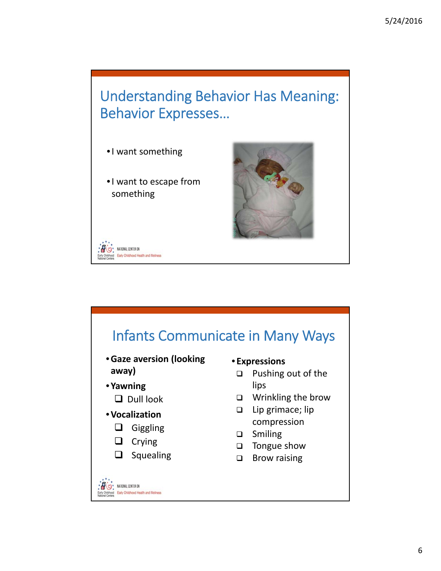### Understanding Behavior Has Meaning: Behavior Expresses…

- •I want something
- •I want to escape from something





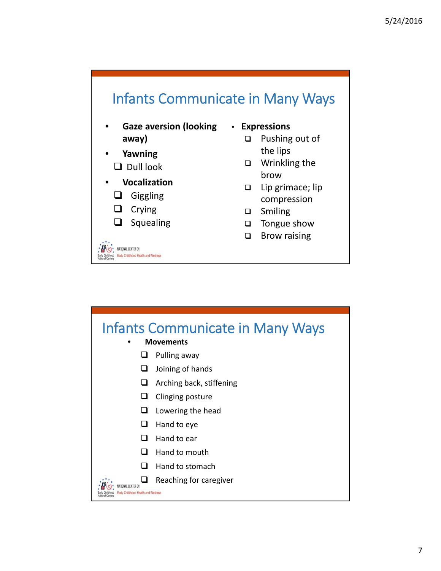

- **Yawning**  $\Box$  Dull look
- **Vocalization**
	- **Q** Giggling
	- $\Box$  Crying
	- $\Box$  Squealing

NATIONAL CENTER ON Early Childhood Health and Wellness

- the lips
- □ Wrinkling the brow
- $\Box$  Lip grimace; lip compression
- □ Smiling
- $\Box$  Tongue show
- □ Brow raising

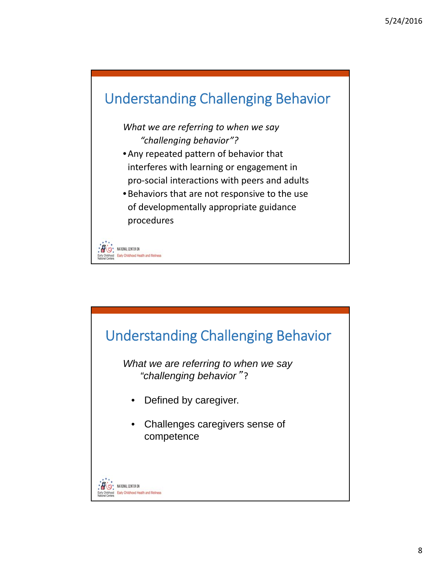

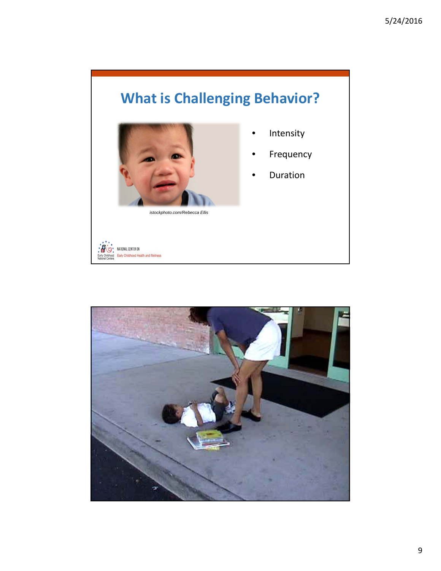# **What is Challenging Behavior?**



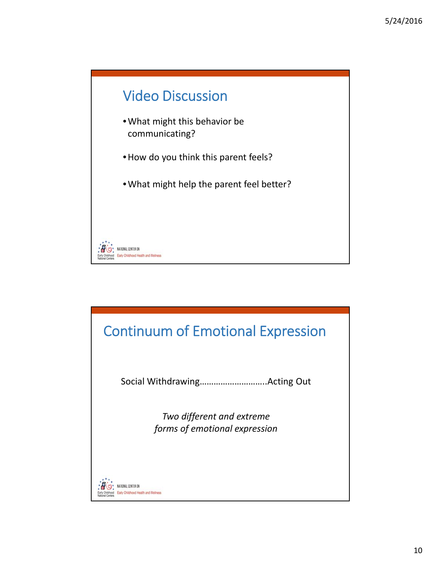

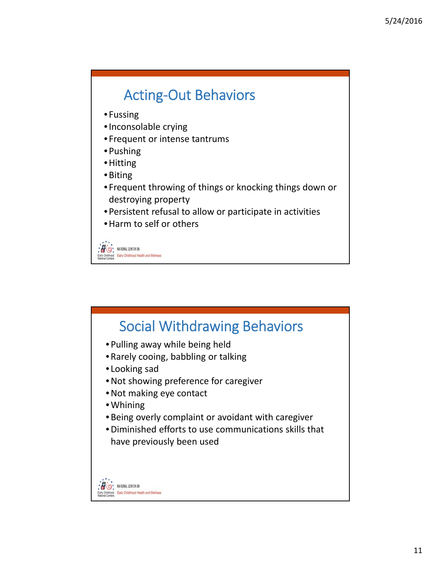# Acting‐Out Behaviors

- Fussing
- •Inconsolable crying
- Frequent or intense tantrums
- Pushing
- •Hitting
- •Biting
- Frequent throwing of things or knocking things down or destroying property
- Persistent refusal to allow or participate in activities
- •Harm to self or others

O MATIONAL CENTER ON od Early Childhood Health and Wellness

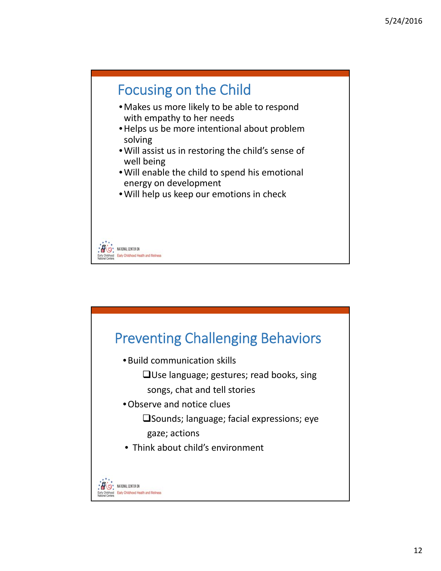

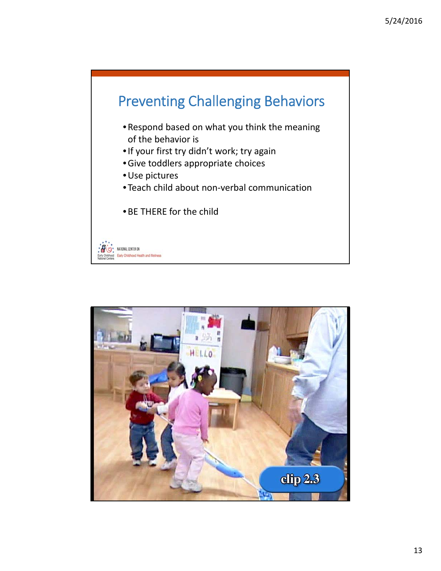

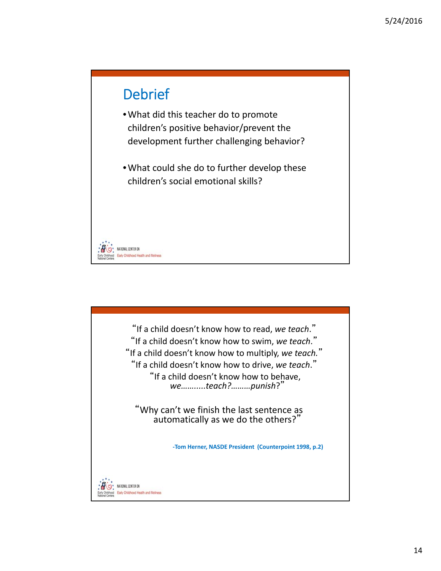### **Debrief**

- •What did this teacher do to promote children's positive behavior/prevent the development further challenging behavior?
- •What could she do to further develop these children's social emotional skills?

NATIONAL CENTER ON Early Childhood Health and Wellnes

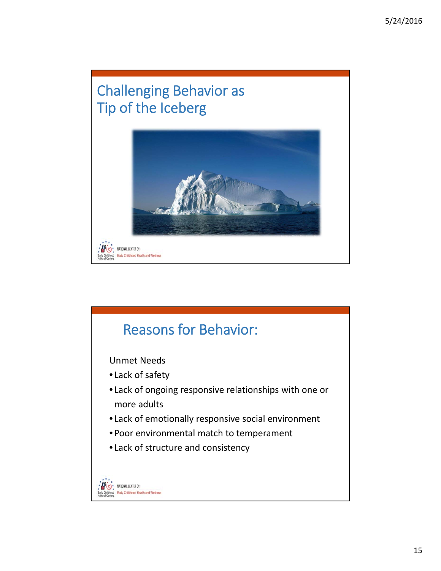# Challenging Behavior as Tip of the Iceberg



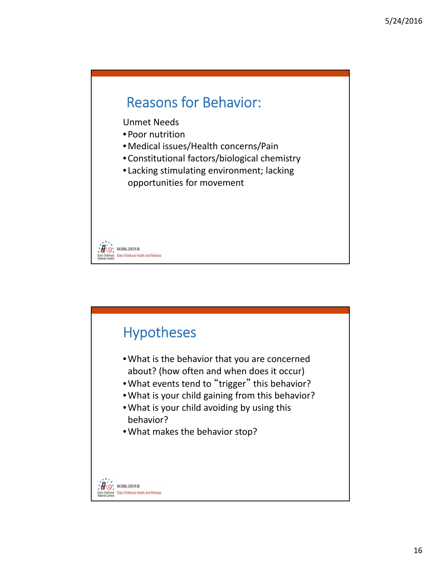### Reasons for Behavior:

Unmet Needs

- Poor nutrition
- •Medical issues/Health concerns/Pain
- Constitutional factors/biological chemistry
- Lacking stimulating environment; lacking opportunities for movement

NATIONAL CENTER ON Early Childhood Health and Wellness

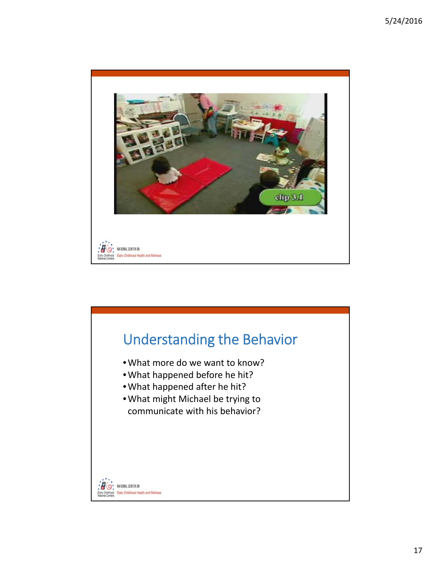

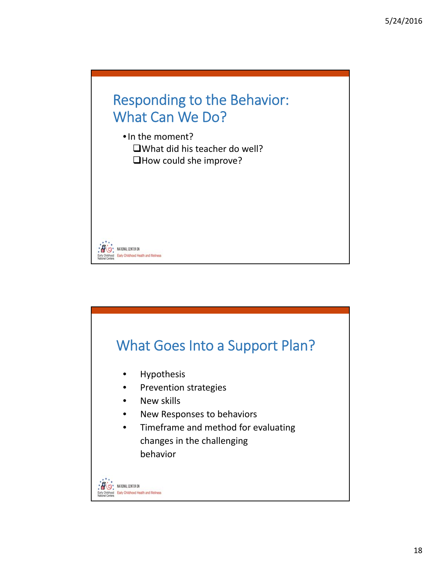

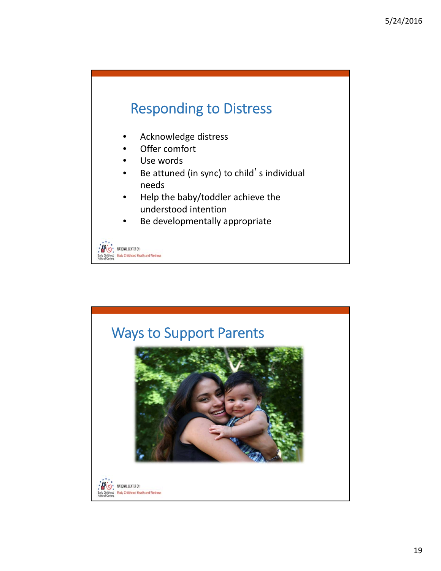# Responding to Distress

- Acknowledge distress
- Offer comfort
- Use words
- Be attuned (in sync) to child's individual needs
- Help the baby/toddler achieve the understood intention
- Be developmentally appropriate

NATIONAL CENTER ON Early Childhood Health and Wellness

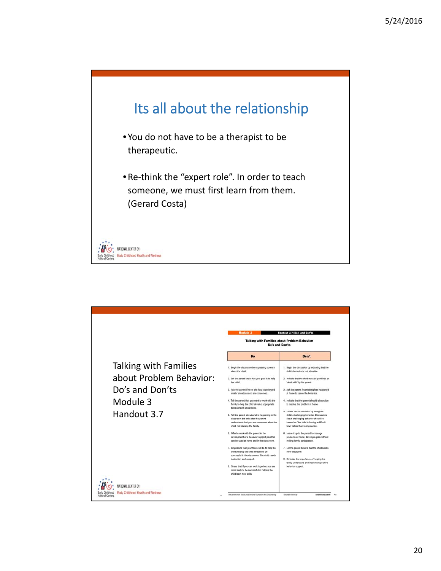

|                         | <b>Module 3</b>                                                                                                                                                            | Handout 3.7: Do's and Don'ts                                                                                                                                                                                        |
|-------------------------|----------------------------------------------------------------------------------------------------------------------------------------------------------------------------|---------------------------------------------------------------------------------------------------------------------------------------------------------------------------------------------------------------------|
|                         | <b>Talking with Families about Problem Behavior:</b><br><b>Do's and Don'ts</b>                                                                                             |                                                                                                                                                                                                                     |
|                         | Do                                                                                                                                                                         | Don't                                                                                                                                                                                                               |
| Talking with Families   | 1. Begin the discussion by expressing concern<br>about the child.                                                                                                          | 1. Begin the discussion by indicating that the<br>child's behavior is not tolerable.                                                                                                                                |
| about Problem Behavior: | 2. Let the parent know that your goal is to help<br>the child.                                                                                                             | 2. Indicate that the child must be punished or<br>"dealt with" by the parent.                                                                                                                                       |
| Do's and Don'ts         | 3. Ask the parent if he or she has experienced<br>similar situations and are concerned.                                                                                    | 3. Ask the parent if something has happened<br>at home to cause the behavior.                                                                                                                                       |
| Module 3                | 4. Tell the parent that you want to work with the<br>family to help the child develop appropriate<br>behavior and social skills.                                           | 4. Indicate that the parent should take action<br>to resolve the problem at home.                                                                                                                                   |
| Handout 3.7             | 5. Tell the parent about what is happening in the<br>classroom but only after the parent<br>understands that you are concerned about the<br>child, not blaming the family. | 5. Initiate the conversation by listing the<br>child's challenging behavior. Discussions<br>about challenging behavior should be<br>framed as "the child is having a difficult<br>time" rather than losing control. |
|                         | 6. Offer to work with the parent in the<br>development of a behavior support plan that<br>can be used at home and in the classroom.                                        | 6. Leave it up to the parent to manage<br>problems at home; develop a plan without<br>inviting family participation.                                                                                                |
|                         | 7. Emphasize that your focus will be to help the<br>child develop the skills needed to be<br>successful in the classroom. The child needs<br>instruction and support.      | 7. Let the parent believe that the child needs<br>more discipline.<br>8. Minimize the importance of helping the                                                                                                     |
|                         | 8. Stress that if you can work together, you are<br>more likely to be successful in helping the<br>child learn new skills.                                                 | family understand and implement positive<br>behavior support.                                                                                                                                                       |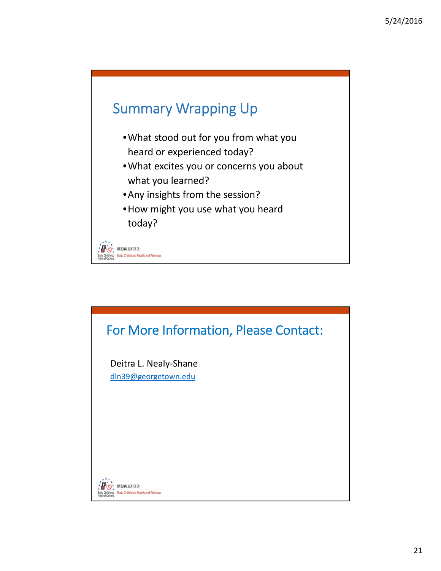

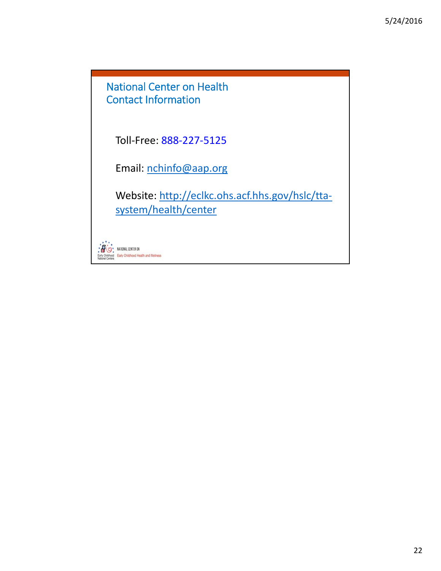National Center on Health Contact Information

Toll‐Free: 888‐227‐5125

Email: nchinfo@aap.org

Website: http://eclkc.ohs.acf.hhs.gov/hslc/tta‐ system/health/center

NATIONAL CENTER ON Н Early Childhood Health and Wellness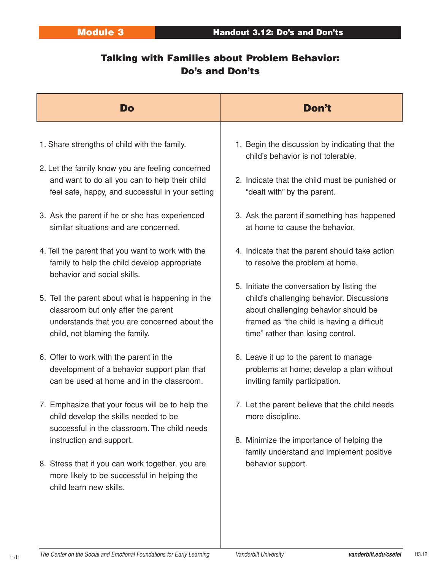### Talking with Families about Problem Behavior: Do's and Don'ts

| Do                                                                                                                                                                                                     | Don't                                                                                                                                                                                                               |
|--------------------------------------------------------------------------------------------------------------------------------------------------------------------------------------------------------|---------------------------------------------------------------------------------------------------------------------------------------------------------------------------------------------------------------------|
| 1. Share strengths of child with the family.<br>2. Let the family know you are feeling concerned<br>and want to do all you can to help their child<br>feel safe, happy, and successful in your setting | 1. Begin the discussion by indicating that the<br>child's behavior is not tolerable.<br>2. Indicate that the child must be punished or<br>"dealt with" by the parent.                                               |
| 3. Ask the parent if he or she has experienced<br>similar situations and are concerned.                                                                                                                | 3. Ask the parent if something has happened<br>at home to cause the behavior.                                                                                                                                       |
| 4. Tell the parent that you want to work with the<br>family to help the child develop appropriate<br>behavior and social skills.                                                                       | 4. Indicate that the parent should take action<br>to resolve the problem at home.                                                                                                                                   |
| 5. Tell the parent about what is happening in the<br>classroom but only after the parent<br>understands that you are concerned about the<br>child, not blaming the family.                             | 5. Initiate the conversation by listing the<br>child's challenging behavior. Discussions<br>about challenging behavior should be<br>framed as "the child is having a difficult<br>time" rather than losing control. |
| 6. Offer to work with the parent in the<br>development of a behavior support plan that<br>can be used at home and in the classroom.                                                                    | 6. Leave it up to the parent to manage<br>problems at home; develop a plan without<br>inviting family participation.                                                                                                |
| 7. Emphasize that your focus will be to help the<br>child develop the skills needed to be<br>successful in the classroom. The child needs                                                              | 7. Let the parent believe that the child needs<br>more discipline.                                                                                                                                                  |
| instruction and support.<br>8. Stress that if you can work together, you are<br>more likely to be successful in helping the<br>child learn new skills.                                                 | 8. Minimize the importance of helping the<br>family understand and implement positive<br>behavior support.                                                                                                          |

11/11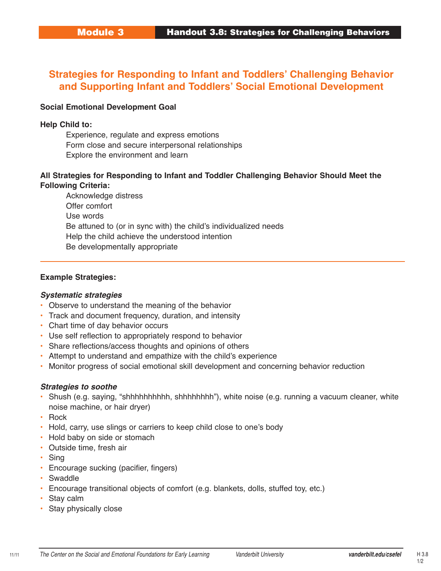### **Strategies for Responding to Infant and Toddlers' Challenging Behavior and Supporting Infant and Toddlers' Social Emotional Development**

#### **Social Emotional Development Goal**

#### **Help Child to:**

Experience, regulate and express emotions Form close and secure interpersonal relationships Explore the environment and learn

#### **All Strategies for Responding to Infant and Toddler Challenging Behavior Should Meet the Following Criteria:**

Acknowledge distress Offer comfort Use words Be attuned to (or in sync with) the child's individualized needs Help the child achieve the understood intention Be developmentally appropriate

#### **Example Strategies:**

#### **Systematic strategies**

- Observe to understand the meaning of the behavior
- Track and document frequency, duration, and intensity
- Chart time of day behavior occurs
- Use self reflection to appropriately respond to behavior
- Share reflections/access thoughts and opinions of others
- Attempt to understand and empathize with the child's experience
- Monitor progress of social emotional skill development and concerning behavior reduction

#### **Strategies to soothe**

- Shush (e.g. saying, "shhhhhhhhhh, shhhhhhhh"), white noise (e.g. running a vacuum cleaner, white noise machine, or hair dryer)
- Rock
- Hold, carry, use slings or carriers to keep child close to one's body
- Hold baby on side or stomach
- Outside time, fresh air
- Sing
- Encourage sucking (pacifier, fingers)
- Swaddle
- Encourage transitional objects of comfort (e.g. blankets, dolls, stuffed toy, etc.)
- Stay calm
- Stay physically close